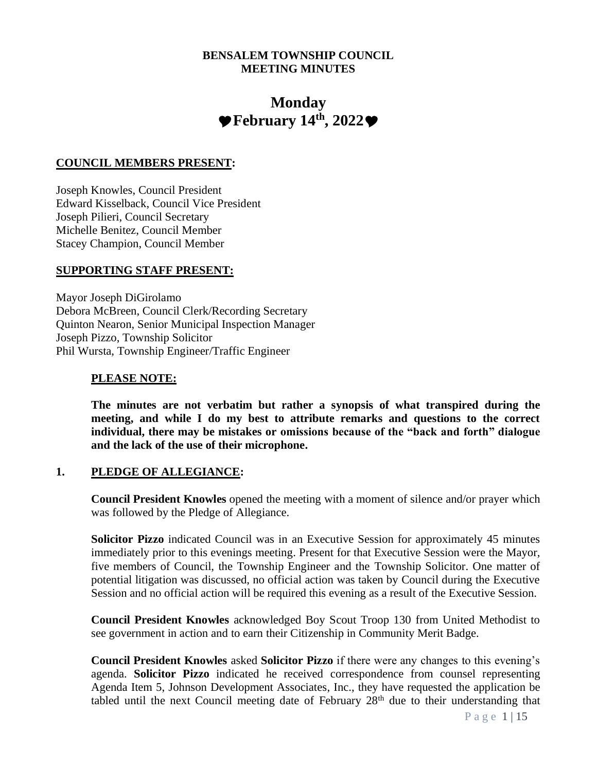#### **BENSALEM TOWNSHIP COUNCIL MEETING MINUTES**

# **Monday**  $\blacktriangleright$  February 14<sup>th</sup>, 2022 $\blacktriangleright$

#### **COUNCIL MEMBERS PRESENT:**

Joseph Knowles, Council President Edward Kisselback, Council Vice President Joseph Pilieri, Council Secretary Michelle Benitez, Council Member Stacey Champion, Council Member

#### **SUPPORTING STAFF PRESENT:**

Mayor Joseph DiGirolamo Debora McBreen, Council Clerk/Recording Secretary Quinton Nearon, Senior Municipal Inspection Manager Joseph Pizzo, Township Solicitor Phil Wursta, Township Engineer/Traffic Engineer

#### **PLEASE NOTE:**

**The minutes are not verbatim but rather a synopsis of what transpired during the meeting, and while I do my best to attribute remarks and questions to the correct individual, there may be mistakes or omissions because of the "back and forth" dialogue and the lack of the use of their microphone.**

#### **1. PLEDGE OF ALLEGIANCE:**

**Council President Knowles** opened the meeting with a moment of silence and/or prayer which was followed by the Pledge of Allegiance.

**Solicitor Pizzo** indicated Council was in an Executive Session for approximately 45 minutes immediately prior to this evenings meeting. Present for that Executive Session were the Mayor, five members of Council, the Township Engineer and the Township Solicitor. One matter of potential litigation was discussed, no official action was taken by Council during the Executive Session and no official action will be required this evening as a result of the Executive Session.

**Council President Knowles** acknowledged Boy Scout Troop 130 from United Methodist to see government in action and to earn their Citizenship in Community Merit Badge.

**Council President Knowles** asked **Solicitor Pizzo** if there were any changes to this evening's agenda. **Solicitor Pizzo** indicated he received correspondence from counsel representing Agenda Item 5, Johnson Development Associates, Inc., they have requested the application be tabled until the next Council meeting date of February  $28<sup>th</sup>$  due to their understanding that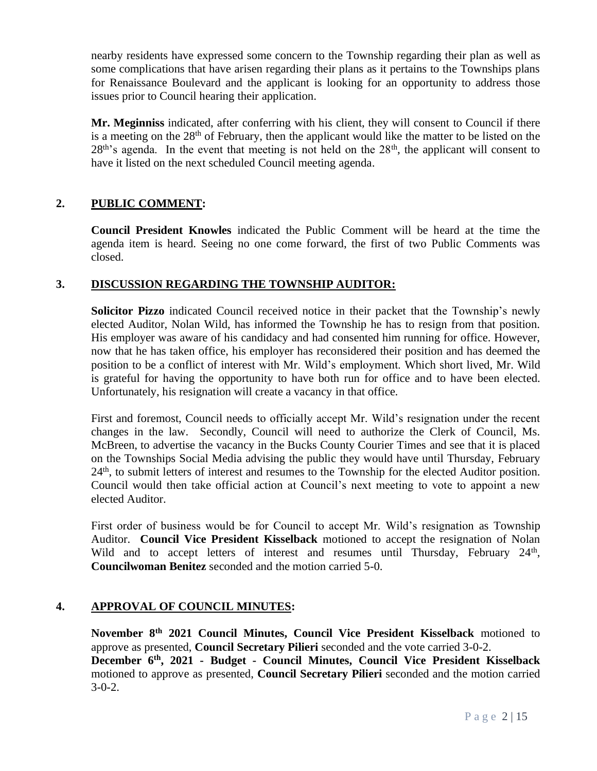nearby residents have expressed some concern to the Township regarding their plan as well as some complications that have arisen regarding their plans as it pertains to the Townships plans for Renaissance Boulevard and the applicant is looking for an opportunity to address those issues prior to Council hearing their application.

**Mr. Meginniss** indicated, after conferring with his client, they will consent to Council if there is a meeting on the  $28<sup>th</sup>$  of February, then the applicant would like the matter to be listed on the  $28<sup>th</sup>$ 's agenda. In the event that meeting is not held on the  $28<sup>th</sup>$ , the applicant will consent to have it listed on the next scheduled Council meeting agenda.

# **2. PUBLIC COMMENT:**

**Council President Knowles** indicated the Public Comment will be heard at the time the agenda item is heard. Seeing no one come forward, the first of two Public Comments was closed.

# **3. DISCUSSION REGARDING THE TOWNSHIP AUDITOR:**

**Solicitor Pizzo** indicated Council received notice in their packet that the Township's newly elected Auditor, Nolan Wild, has informed the Township he has to resign from that position. His employer was aware of his candidacy and had consented him running for office. However, now that he has taken office, his employer has reconsidered their position and has deemed the position to be a conflict of interest with Mr. Wild's employment. Which short lived, Mr. Wild is grateful for having the opportunity to have both run for office and to have been elected. Unfortunately, his resignation will create a vacancy in that office.

First and foremost, Council needs to officially accept Mr. Wild's resignation under the recent changes in the law. Secondly, Council will need to authorize the Clerk of Council, Ms. McBreen, to advertise the vacancy in the Bucks County Courier Times and see that it is placed on the Townships Social Media advising the public they would have until Thursday, February  $24<sup>th</sup>$ , to submit letters of interest and resumes to the Township for the elected Auditor position. Council would then take official action at Council's next meeting to vote to appoint a new elected Auditor.

First order of business would be for Council to accept Mr. Wild's resignation as Township Auditor. **Council Vice President Kisselback** motioned to accept the resignation of Nolan Wild and to accept letters of interest and resumes until Thursday, February 24<sup>th</sup>, **Councilwoman Benitez** seconded and the motion carried 5-0.

# **4. APPROVAL OF COUNCIL MINUTES:**

**November 8th 2021 Council Minutes, Council Vice President Kisselback** motioned to approve as presented, **Council Secretary Pilieri** seconded and the vote carried 3-0-2. **December 6th, 2021 - Budget - Council Minutes, Council Vice President Kisselback** motioned to approve as presented, **Council Secretary Pilieri** seconded and the motion carried  $3-0-2$ .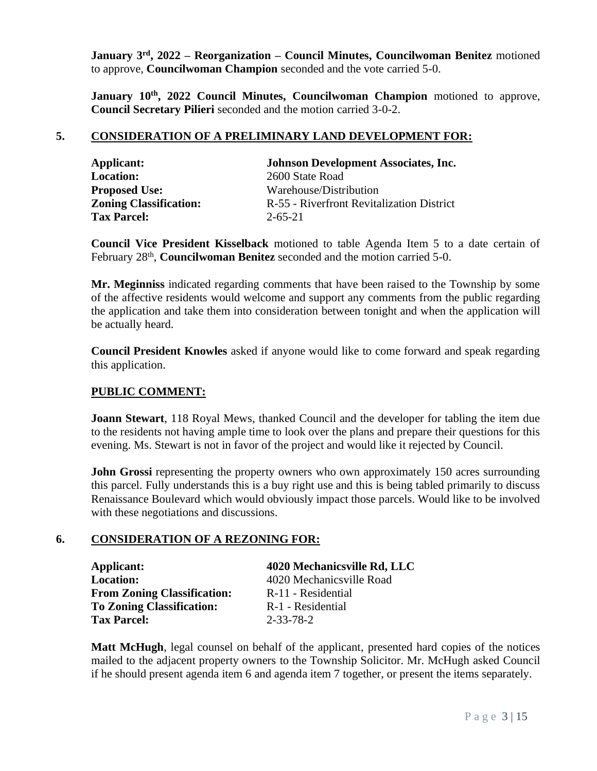**January 3rd, 2022 – Reorganization – Council Minutes, Councilwoman Benitez** motioned to approve, **Councilwoman Champion** seconded and the vote carried 5-0.

**January 10th, 2022 Council Minutes, Councilwoman Champion** motioned to approve, **Council Secretary Pilieri** seconded and the motion carried 3-0-2.

# **5. CONSIDERATION OF A PRELIMINARY LAND DEVELOPMENT FOR:**

| Applicant:                    | <b>Johnson Development Associates, Inc.</b> |
|-------------------------------|---------------------------------------------|
| <b>Location:</b>              | 2600 State Road                             |
| <b>Proposed Use:</b>          | Warehouse/Distribution                      |
| <b>Zoning Classification:</b> | R-55 - Riverfront Revitalization District   |
| <b>Tax Parcel:</b>            | $2 - 65 - 21$                               |

**Council Vice President Kisselback** motioned to table Agenda Item 5 to a date certain of February 28<sup>th</sup>, **Councilwoman Benitez** seconded and the motion carried 5-0.

**Mr. Meginniss** indicated regarding comments that have been raised to the Township by some of the affective residents would welcome and support any comments from the public regarding the application and take them into consideration between tonight and when the application will be actually heard.

**Council President Knowles** asked if anyone would like to come forward and speak regarding this application.

# **PUBLIC COMMENT:**

**Joann Stewart**, 118 Royal Mews, thanked Council and the developer for tabling the item due to the residents not having ample time to look over the plans and prepare their questions for this evening. Ms. Stewart is not in favor of the project and would like it rejected by Council.

**John Grossi** representing the property owners who own approximately 150 acres surrounding this parcel. Fully understands this is a buy right use and this is being tabled primarily to discuss Renaissance Boulevard which would obviously impact those parcels. Would like to be involved with these negotiations and discussions.

#### **6. CONSIDERATION OF A REZONING FOR:**

| Applicant:                         | 4020 Mechanicsville Rd, LLC |
|------------------------------------|-----------------------------|
| <b>Location:</b>                   | 4020 Mechanicsville Road    |
| <b>From Zoning Classification:</b> | R-11 - Residential          |
| <b>To Zoning Classification:</b>   | R-1 - Residential           |
| <b>Tax Parcel:</b>                 | 2-33-78-2                   |

**Matt McHugh**, legal counsel on behalf of the applicant, presented hard copies of the notices mailed to the adjacent property owners to the Township Solicitor. Mr. McHugh asked Council if he should present agenda item 6 and agenda item 7 together, or present the items separately.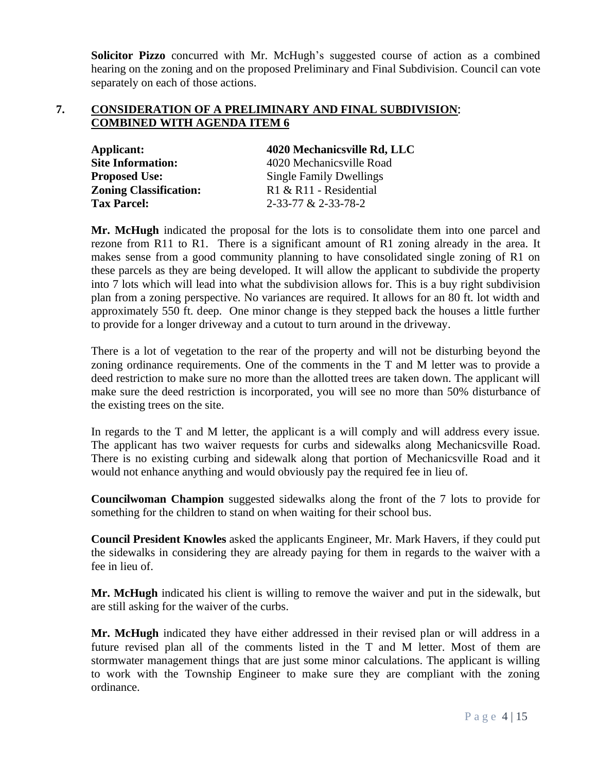**Solicitor Pizzo** concurred with Mr. McHugh's suggested course of action as a combined hearing on the zoning and on the proposed Preliminary and Final Subdivision. Council can vote separately on each of those actions.

#### **7. CONSIDERATION OF A PRELIMINARY AND FINAL SUBDIVISION**: **COMBINED WITH AGENDA ITEM 6**

| Applicant:                    | 4020 Mechanicsville Rd, LLC    |
|-------------------------------|--------------------------------|
| <b>Site Information:</b>      | 4020 Mechanicsville Road       |
| <b>Proposed Use:</b>          | <b>Single Family Dwellings</b> |
| <b>Zoning Classification:</b> | $R1 & R11$ - Residential       |
| <b>Tax Parcel:</b>            | 2-33-77 & 2-33-78-2            |

**Mr. McHugh** indicated the proposal for the lots is to consolidate them into one parcel and rezone from R11 to R1. There is a significant amount of R1 zoning already in the area. It makes sense from a good community planning to have consolidated single zoning of R1 on these parcels as they are being developed. It will allow the applicant to subdivide the property into 7 lots which will lead into what the subdivision allows for. This is a buy right subdivision plan from a zoning perspective. No variances are required. It allows for an 80 ft. lot width and approximately 550 ft. deep. One minor change is they stepped back the houses a little further to provide for a longer driveway and a cutout to turn around in the driveway.

There is a lot of vegetation to the rear of the property and will not be disturbing beyond the zoning ordinance requirements. One of the comments in the T and M letter was to provide a deed restriction to make sure no more than the allotted trees are taken down. The applicant will make sure the deed restriction is incorporated, you will see no more than 50% disturbance of the existing trees on the site.

In regards to the T and M letter, the applicant is a will comply and will address every issue. The applicant has two waiver requests for curbs and sidewalks along Mechanicsville Road. There is no existing curbing and sidewalk along that portion of Mechanicsville Road and it would not enhance anything and would obviously pay the required fee in lieu of.

**Councilwoman Champion** suggested sidewalks along the front of the 7 lots to provide for something for the children to stand on when waiting for their school bus.

**Council President Knowles** asked the applicants Engineer, Mr. Mark Havers, if they could put the sidewalks in considering they are already paying for them in regards to the waiver with a fee in lieu of.

**Mr. McHugh** indicated his client is willing to remove the waiver and put in the sidewalk, but are still asking for the waiver of the curbs.

**Mr. McHugh** indicated they have either addressed in their revised plan or will address in a future revised plan all of the comments listed in the T and M letter. Most of them are stormwater management things that are just some minor calculations. The applicant is willing to work with the Township Engineer to make sure they are compliant with the zoning ordinance.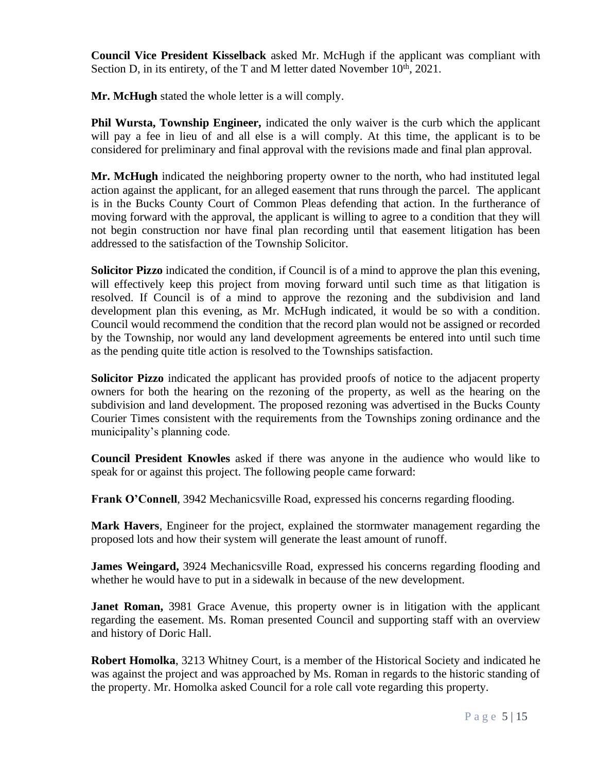**Council Vice President Kisselback** asked Mr. McHugh if the applicant was compliant with Section D, in its entirety, of the T and M letter dated November  $10<sup>th</sup>$ , 2021.

**Mr. McHugh** stated the whole letter is a will comply.

**Phil Wursta, Township Engineer,** indicated the only waiver is the curb which the applicant will pay a fee in lieu of and all else is a will comply. At this time, the applicant is to be considered for preliminary and final approval with the revisions made and final plan approval.

**Mr. McHugh** indicated the neighboring property owner to the north, who had instituted legal action against the applicant, for an alleged easement that runs through the parcel. The applicant is in the Bucks County Court of Common Pleas defending that action. In the furtherance of moving forward with the approval, the applicant is willing to agree to a condition that they will not begin construction nor have final plan recording until that easement litigation has been addressed to the satisfaction of the Township Solicitor.

**Solicitor Pizzo** indicated the condition, if Council is of a mind to approve the plan this evening, will effectively keep this project from moving forward until such time as that litigation is resolved. If Council is of a mind to approve the rezoning and the subdivision and land development plan this evening, as Mr. McHugh indicated, it would be so with a condition. Council would recommend the condition that the record plan would not be assigned or recorded by the Township, nor would any land development agreements be entered into until such time as the pending quite title action is resolved to the Townships satisfaction.

**Solicitor Pizzo** indicated the applicant has provided proofs of notice to the adjacent property owners for both the hearing on the rezoning of the property, as well as the hearing on the subdivision and land development. The proposed rezoning was advertised in the Bucks County Courier Times consistent with the requirements from the Townships zoning ordinance and the municipality's planning code.

**Council President Knowles** asked if there was anyone in the audience who would like to speak for or against this project. The following people came forward:

**Frank O'Connell**, 3942 Mechanicsville Road, expressed his concerns regarding flooding.

**Mark Havers**, Engineer for the project, explained the stormwater management regarding the proposed lots and how their system will generate the least amount of runoff.

**James Weingard,** 3924 Mechanicsville Road, expressed his concerns regarding flooding and whether he would have to put in a sidewalk in because of the new development.

**Janet Roman,** 3981 Grace Avenue, this property owner is in litigation with the applicant regarding the easement. Ms. Roman presented Council and supporting staff with an overview and history of Doric Hall.

**Robert Homolka**, 3213 Whitney Court, is a member of the Historical Society and indicated he was against the project and was approached by Ms. Roman in regards to the historic standing of the property. Mr. Homolka asked Council for a role call vote regarding this property.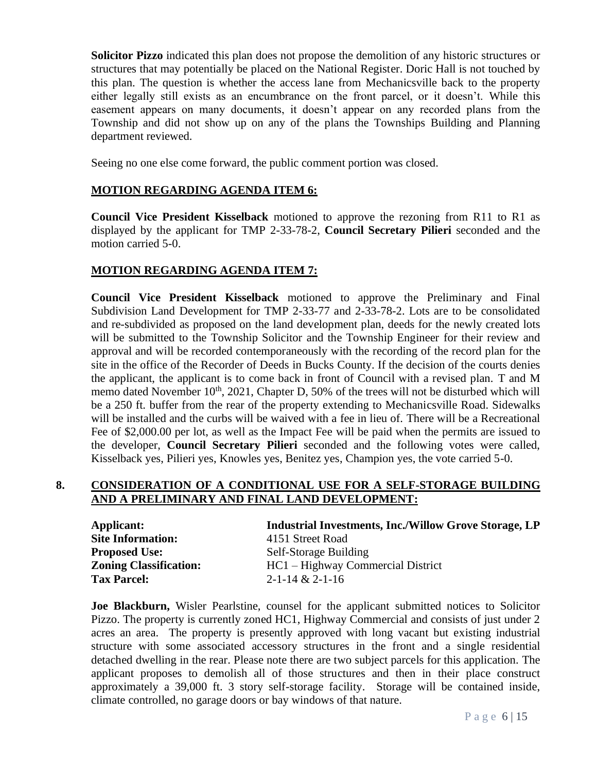**Solicitor Pizzo** indicated this plan does not propose the demolition of any historic structures or structures that may potentially be placed on the National Register. Doric Hall is not touched by this plan. The question is whether the access lane from Mechanicsville back to the property either legally still exists as an encumbrance on the front parcel, or it doesn't. While this easement appears on many documents, it doesn't appear on any recorded plans from the Township and did not show up on any of the plans the Townships Building and Planning department reviewed.

Seeing no one else come forward, the public comment portion was closed.

#### **MOTION REGARDING AGENDA ITEM 6:**

**Council Vice President Kisselback** motioned to approve the rezoning from R11 to R1 as displayed by the applicant for TMP 2-33-78-2, **Council Secretary Pilieri** seconded and the motion carried 5-0.

#### **MOTION REGARDING AGENDA ITEM 7:**

**Council Vice President Kisselback** motioned to approve the Preliminary and Final Subdivision Land Development for TMP 2-33-77 and 2-33-78-2. Lots are to be consolidated and re-subdivided as proposed on the land development plan, deeds for the newly created lots will be submitted to the Township Solicitor and the Township Engineer for their review and approval and will be recorded contemporaneously with the recording of the record plan for the site in the office of the Recorder of Deeds in Bucks County. If the decision of the courts denies the applicant, the applicant is to come back in front of Council with a revised plan. T and M memo dated November  $10<sup>th</sup>$ , 2021, Chapter D, 50% of the trees will not be disturbed which will be a 250 ft. buffer from the rear of the property extending to Mechanicsville Road. Sidewalks will be installed and the curbs will be waived with a fee in lieu of. There will be a Recreational Fee of \$2,000.00 per lot, as well as the Impact Fee will be paid when the permits are issued to the developer, **Council Secretary Pilieri** seconded and the following votes were called, Kisselback yes, Pilieri yes, Knowles yes, Benitez yes, Champion yes, the vote carried 5-0.

#### **8. CONSIDERATION OF A CONDITIONAL USE FOR A SELF-STORAGE BUILDING AND A PRELIMINARY AND FINAL LAND DEVELOPMENT:**

| Applicant:                    | <b>Industrial Investments, Inc./Willow Grove Storage, LP</b> |
|-------------------------------|--------------------------------------------------------------|
| <b>Site Information:</b>      | 4151 Street Road                                             |
| <b>Proposed Use:</b>          | Self-Storage Building                                        |
| <b>Zoning Classification:</b> | HC1 – Highway Commercial District                            |
| <b>Tax Parcel:</b>            | $2 - 1 - 14 & 2 - 1 - 16$                                    |

**Joe Blackburn,** Wisler Pearlstine, counsel for the applicant submitted notices to Solicitor Pizzo. The property is currently zoned HC1, Highway Commercial and consists of just under 2 acres an area. The property is presently approved with long vacant but existing industrial structure with some associated accessory structures in the front and a single residential detached dwelling in the rear. Please note there are two subject parcels for this application. The applicant proposes to demolish all of those structures and then in their place construct approximately a 39,000 ft. 3 story self-storage facility. Storage will be contained inside, climate controlled, no garage doors or bay windows of that nature.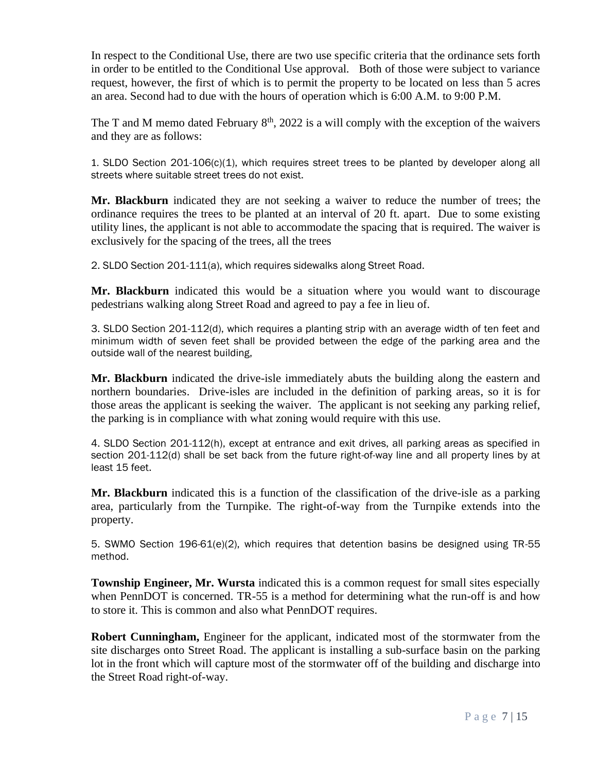In respect to the Conditional Use, there are two use specific criteria that the ordinance sets forth in order to be entitled to the Conditional Use approval. Both of those were subject to variance request, however, the first of which is to permit the property to be located on less than 5 acres an area. Second had to due with the hours of operation which is 6:00 A.M. to 9:00 P.M.

The T and M memo dated February  $8<sup>th</sup>$ , 2022 is a will comply with the exception of the waivers and they are as follows:

1. SLDO Section 201-106(c)(1), which requires street trees to be planted by developer along all streets where suitable street trees do not exist.

**Mr. Blackburn** indicated they are not seeking a waiver to reduce the number of trees; the ordinance requires the trees to be planted at an interval of 20 ft. apart. Due to some existing utility lines, the applicant is not able to accommodate the spacing that is required. The waiver is exclusively for the spacing of the trees, all the trees

2. SLDO Section 201-111(a), which requires sidewalks along Street Road.

**Mr. Blackburn** indicated this would be a situation where you would want to discourage pedestrians walking along Street Road and agreed to pay a fee in lieu of.

3. SLDO Section 201-112(d), which requires a planting strip with an average width of ten feet and minimum width of seven feet shall be provided between the edge of the parking area and the outside wall of the nearest building,

**Mr. Blackburn** indicated the drive-isle immediately abuts the building along the eastern and northern boundaries. Drive-isles are included in the definition of parking areas, so it is for those areas the applicant is seeking the waiver. The applicant is not seeking any parking relief, the parking is in compliance with what zoning would require with this use.

4. SLDO Section 201-112(h), except at entrance and exit drives, all parking areas as specified in section 201-112(d) shall be set back from the future right-of-way line and all property lines by at least 15 feet.

**Mr. Blackburn** indicated this is a function of the classification of the drive-isle as a parking area, particularly from the Turnpike. The right-of-way from the Turnpike extends into the property.

5. SWMO Section 196-61(e)(2), which requires that detention basins be designed using TR-55 method.

**Township Engineer, Mr. Wursta** indicated this is a common request for small sites especially when PennDOT is concerned. TR-55 is a method for determining what the run-off is and how to store it. This is common and also what PennDOT requires.

**Robert Cunningham,** Engineer for the applicant, indicated most of the stormwater from the site discharges onto Street Road. The applicant is installing a sub-surface basin on the parking lot in the front which will capture most of the stormwater off of the building and discharge into the Street Road right-of-way.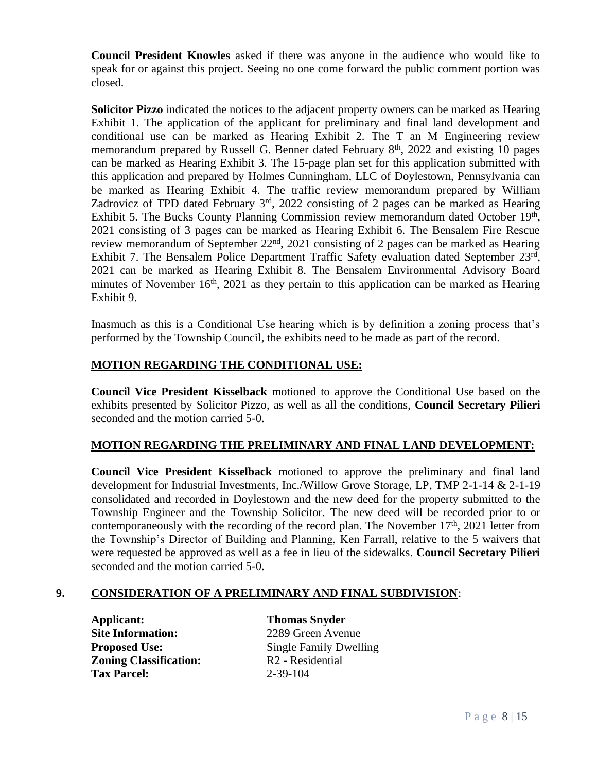**Council President Knowles** asked if there was anyone in the audience who would like to speak for or against this project. Seeing no one come forward the public comment portion was closed.

**Solicitor Pizzo** indicated the notices to the adjacent property owners can be marked as Hearing Exhibit 1. The application of the applicant for preliminary and final land development and conditional use can be marked as Hearing Exhibit 2. The T an M Engineering review memorandum prepared by Russell G. Benner dated February  $8<sup>th</sup>$ , 2022 and existing 10 pages can be marked as Hearing Exhibit 3. The 15-page plan set for this application submitted with this application and prepared by Holmes Cunningham, LLC of Doylestown, Pennsylvania can be marked as Hearing Exhibit 4. The traffic review memorandum prepared by William Zadrovicz of TPD dated February  $3<sup>rd</sup>$ , 2022 consisting of 2 pages can be marked as Hearing Exhibit 5. The Bucks County Planning Commission review memorandum dated October 19th, 2021 consisting of 3 pages can be marked as Hearing Exhibit 6. The Bensalem Fire Rescue review memorandum of September 22nd, 2021 consisting of 2 pages can be marked as Hearing Exhibit 7. The Bensalem Police Department Traffic Safety evaluation dated September 23rd, 2021 can be marked as Hearing Exhibit 8. The Bensalem Environmental Advisory Board minutes of November  $16<sup>th</sup>$ , 2021 as they pertain to this application can be marked as Hearing Exhibit 9.

Inasmuch as this is a Conditional Use hearing which is by definition a zoning process that's performed by the Township Council, the exhibits need to be made as part of the record.

# **MOTION REGARDING THE CONDITIONAL USE:**

**Council Vice President Kisselback** motioned to approve the Conditional Use based on the exhibits presented by Solicitor Pizzo, as well as all the conditions, **Council Secretary Pilieri** seconded and the motion carried 5-0.

# **MOTION REGARDING THE PRELIMINARY AND FINAL LAND DEVELOPMENT:**

**Council Vice President Kisselback** motioned to approve the preliminary and final land development for Industrial Investments, Inc./Willow Grove Storage, LP, TMP 2-1-14 & 2-1-19 consolidated and recorded in Doylestown and the new deed for the property submitted to the Township Engineer and the Township Solicitor. The new deed will be recorded prior to or contemporaneously with the recording of the record plan. The November  $17<sup>th</sup>$ , 2021 letter from the Township's Director of Building and Planning, Ken Farrall, relative to the 5 waivers that were requested be approved as well as a fee in lieu of the sidewalks. **Council Secretary Pilieri** seconded and the motion carried 5-0.

# **9. CONSIDERATION OF A PRELIMINARY AND FINAL SUBDIVISION**:

**Applicant: Thomas Snyder Site Information:** 2289 Green Avenue **Zoning Classification:** R2 **-** Residential **Tax Parcel:** 2-39-104

**Proposed Use:** Single Family Dwelling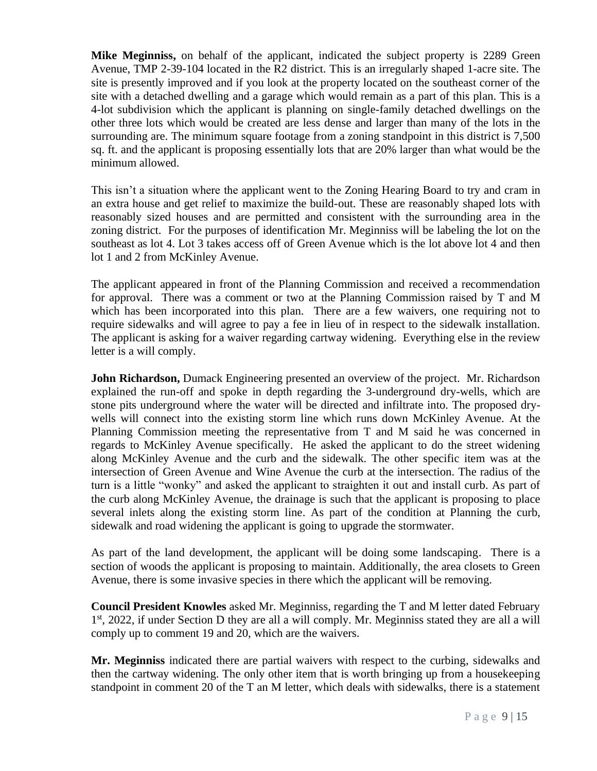**Mike Meginniss,** on behalf of the applicant, indicated the subject property is 2289 Green Avenue, TMP 2-39-104 located in the R2 district. This is an irregularly shaped 1-acre site. The site is presently improved and if you look at the property located on the southeast corner of the site with a detached dwelling and a garage which would remain as a part of this plan. This is a 4-lot subdivision which the applicant is planning on single-family detached dwellings on the other three lots which would be created are less dense and larger than many of the lots in the surrounding are. The minimum square footage from a zoning standpoint in this district is 7,500 sq. ft. and the applicant is proposing essentially lots that are 20% larger than what would be the minimum allowed.

This isn't a situation where the applicant went to the Zoning Hearing Board to try and cram in an extra house and get relief to maximize the build-out. These are reasonably shaped lots with reasonably sized houses and are permitted and consistent with the surrounding area in the zoning district. For the purposes of identification Mr. Meginniss will be labeling the lot on the southeast as lot 4. Lot 3 takes access off of Green Avenue which is the lot above lot 4 and then lot 1 and 2 from McKinley Avenue.

The applicant appeared in front of the Planning Commission and received a recommendation for approval. There was a comment or two at the Planning Commission raised by T and M which has been incorporated into this plan. There are a few waivers, one requiring not to require sidewalks and will agree to pay a fee in lieu of in respect to the sidewalk installation. The applicant is asking for a waiver regarding cartway widening. Everything else in the review letter is a will comply.

**John Richardson,** Dumack Engineering presented an overview of the project. Mr. Richardson explained the run-off and spoke in depth regarding the 3-underground dry-wells, which are stone pits underground where the water will be directed and infiltrate into. The proposed drywells will connect into the existing storm line which runs down McKinley Avenue. At the Planning Commission meeting the representative from T and M said he was concerned in regards to McKinley Avenue specifically. He asked the applicant to do the street widening along McKinley Avenue and the curb and the sidewalk. The other specific item was at the intersection of Green Avenue and Wine Avenue the curb at the intersection. The radius of the turn is a little "wonky" and asked the applicant to straighten it out and install curb. As part of the curb along McKinley Avenue, the drainage is such that the applicant is proposing to place several inlets along the existing storm line. As part of the condition at Planning the curb, sidewalk and road widening the applicant is going to upgrade the stormwater.

As part of the land development, the applicant will be doing some landscaping. There is a section of woods the applicant is proposing to maintain. Additionally, the area closets to Green Avenue, there is some invasive species in there which the applicant will be removing.

**Council President Knowles** asked Mr. Meginniss, regarding the T and M letter dated February 1<sup>st</sup>, 2022, if under Section D they are all a will comply. Mr. Meginniss stated they are all a will comply up to comment 19 and 20, which are the waivers.

**Mr. Meginniss** indicated there are partial waivers with respect to the curbing, sidewalks and then the cartway widening. The only other item that is worth bringing up from a housekeeping standpoint in comment 20 of the T an M letter, which deals with sidewalks, there is a statement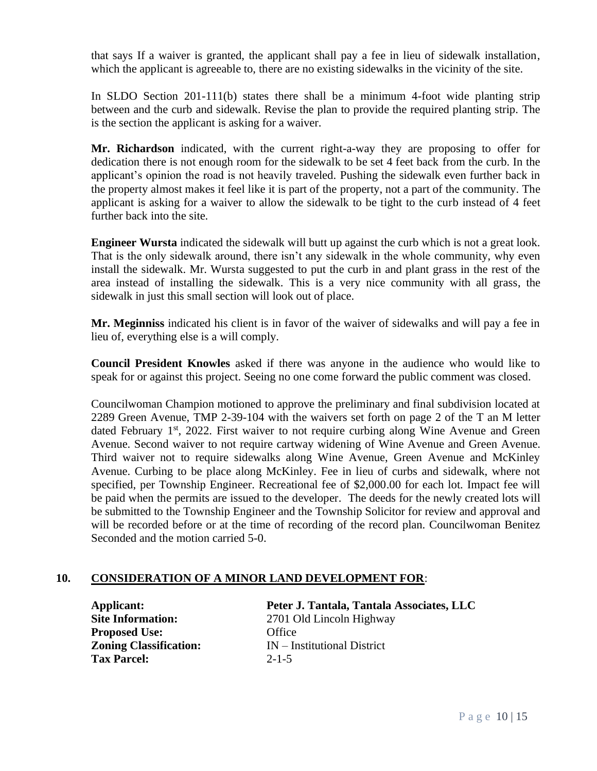that says If a waiver is granted, the applicant shall pay a fee in lieu of sidewalk installation, which the applicant is agreeable to, there are no existing sidewalks in the vicinity of the site.

In SLDO Section 201-111(b) states there shall be a minimum 4-foot wide planting strip between and the curb and sidewalk. Revise the plan to provide the required planting strip. The is the section the applicant is asking for a waiver.

**Mr. Richardson** indicated, with the current right-a-way they are proposing to offer for dedication there is not enough room for the sidewalk to be set 4 feet back from the curb. In the applicant's opinion the road is not heavily traveled. Pushing the sidewalk even further back in the property almost makes it feel like it is part of the property, not a part of the community. The applicant is asking for a waiver to allow the sidewalk to be tight to the curb instead of 4 feet further back into the site.

**Engineer Wursta** indicated the sidewalk will butt up against the curb which is not a great look. That is the only sidewalk around, there isn't any sidewalk in the whole community, why even install the sidewalk. Mr. Wursta suggested to put the curb in and plant grass in the rest of the area instead of installing the sidewalk. This is a very nice community with all grass, the sidewalk in just this small section will look out of place.

**Mr. Meginniss** indicated his client is in favor of the waiver of sidewalks and will pay a fee in lieu of, everything else is a will comply.

**Council President Knowles** asked if there was anyone in the audience who would like to speak for or against this project. Seeing no one come forward the public comment was closed.

Councilwoman Champion motioned to approve the preliminary and final subdivision located at 2289 Green Avenue, TMP 2-39-104 with the waivers set forth on page 2 of the T an M letter dated February 1<sup>st</sup>, 2022. First waiver to not require curbing along Wine Avenue and Green Avenue. Second waiver to not require cartway widening of Wine Avenue and Green Avenue. Third waiver not to require sidewalks along Wine Avenue, Green Avenue and McKinley Avenue. Curbing to be place along McKinley. Fee in lieu of curbs and sidewalk, where not specified, per Township Engineer. Recreational fee of \$2,000.00 for each lot. Impact fee will be paid when the permits are issued to the developer. The deeds for the newly created lots will be submitted to the Township Engineer and the Township Solicitor for review and approval and will be recorded before or at the time of recording of the record plan. Councilwoman Benitez Seconded and the motion carried 5-0.

# **10. CONSIDERATION OF A MINOR LAND DEVELOPMENT FOR**:

**Proposed Use:** Office **Tax Parcel:** 2-1-5

**Applicant: Peter J. Tantala, Tantala Associates, LLC Site Information:** 2701 Old Lincoln Highway **Zoning Classification:** IN – Institutional District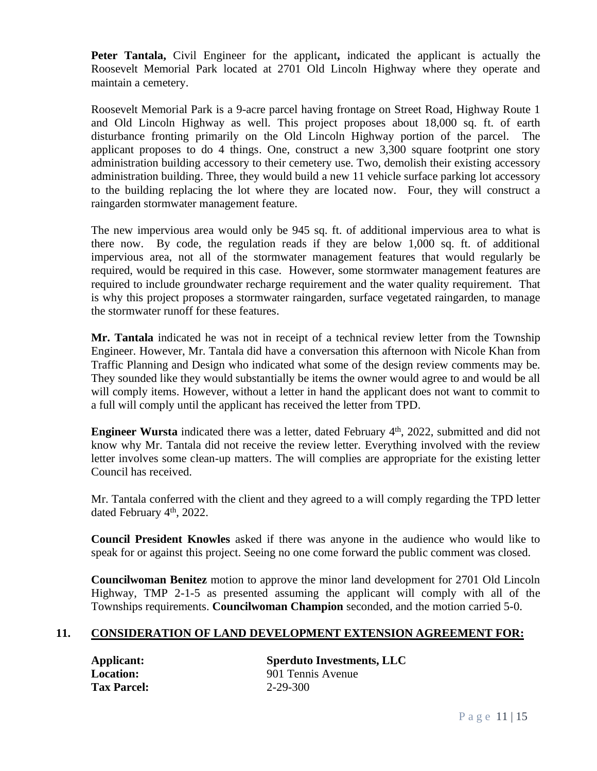**Peter Tantala,** Civil Engineer for the applicant**,** indicated the applicant is actually the Roosevelt Memorial Park located at 2701 Old Lincoln Highway where they operate and maintain a cemetery.

Roosevelt Memorial Park is a 9-acre parcel having frontage on Street Road, Highway Route 1 and Old Lincoln Highway as well. This project proposes about 18,000 sq. ft. of earth disturbance fronting primarily on the Old Lincoln Highway portion of the parcel. The applicant proposes to do 4 things. One, construct a new 3,300 square footprint one story administration building accessory to their cemetery use. Two, demolish their existing accessory administration building. Three, they would build a new 11 vehicle surface parking lot accessory to the building replacing the lot where they are located now. Four, they will construct a raingarden stormwater management feature.

The new impervious area would only be 945 sq. ft. of additional impervious area to what is there now. By code, the regulation reads if they are below 1,000 sq. ft. of additional impervious area, not all of the stormwater management features that would regularly be required, would be required in this case. However, some stormwater management features are required to include groundwater recharge requirement and the water quality requirement. That is why this project proposes a stormwater raingarden, surface vegetated raingarden, to manage the stormwater runoff for these features.

**Mr. Tantala** indicated he was not in receipt of a technical review letter from the Township Engineer. However, Mr. Tantala did have a conversation this afternoon with Nicole Khan from Traffic Planning and Design who indicated what some of the design review comments may be. They sounded like they would substantially be items the owner would agree to and would be all will comply items. However, without a letter in hand the applicant does not want to commit to a full will comply until the applicant has received the letter from TPD.

**Engineer Wursta** indicated there was a letter, dated February 4<sup>th</sup>, 2022, submitted and did not know why Mr. Tantala did not receive the review letter. Everything involved with the review letter involves some clean-up matters. The will complies are appropriate for the existing letter Council has received.

Mr. Tantala conferred with the client and they agreed to a will comply regarding the TPD letter dated February 4<sup>th</sup>, 2022.

**Council President Knowles** asked if there was anyone in the audience who would like to speak for or against this project. Seeing no one come forward the public comment was closed.

**Councilwoman Benitez** motion to approve the minor land development for 2701 Old Lincoln Highway, TMP 2-1-5 as presented assuming the applicant will comply with all of the Townships requirements. **Councilwoman Champion** seconded, and the motion carried 5-0.

#### **11. CONSIDERATION OF LAND DEVELOPMENT EXTENSION AGREEMENT FOR:**

**Tax Parcel:** 2-29-300

**Applicant: Sperduto Investments, LLC Location:** 901 Tennis Avenue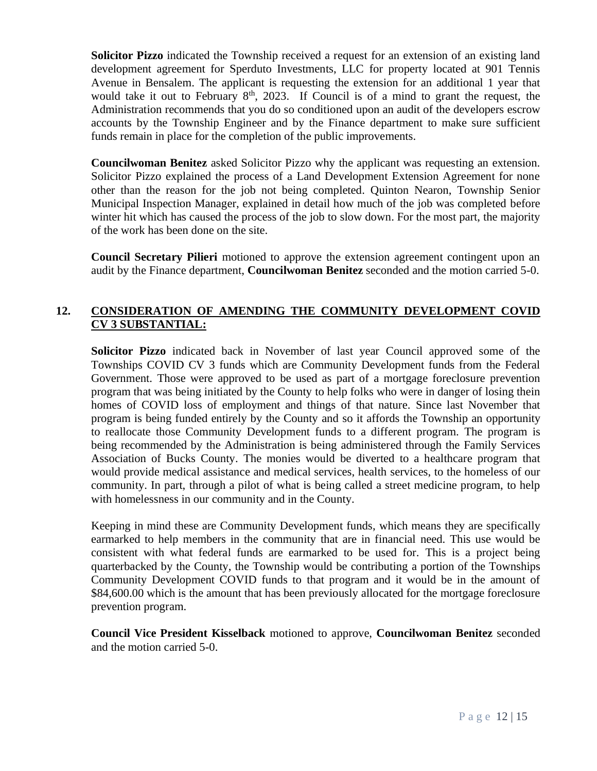**Solicitor Pizzo** indicated the Township received a request for an extension of an existing land development agreement for Sperduto Investments, LLC for property located at 901 Tennis Avenue in Bensalem. The applicant is requesting the extension for an additional 1 year that would take it out to February  $8<sup>th</sup>$ , 2023. If Council is of a mind to grant the request, the Administration recommends that you do so conditioned upon an audit of the developers escrow accounts by the Township Engineer and by the Finance department to make sure sufficient funds remain in place for the completion of the public improvements.

**Councilwoman Benitez** asked Solicitor Pizzo why the applicant was requesting an extension. Solicitor Pizzo explained the process of a Land Development Extension Agreement for none other than the reason for the job not being completed. Quinton Nearon, Township Senior Municipal Inspection Manager, explained in detail how much of the job was completed before winter hit which has caused the process of the job to slow down. For the most part, the majority of the work has been done on the site.

**Council Secretary Pilieri** motioned to approve the extension agreement contingent upon an audit by the Finance department, **Councilwoman Benitez** seconded and the motion carried 5-0.

# **12. CONSIDERATION OF AMENDING THE COMMUNITY DEVELOPMENT COVID CV 3 SUBSTANTIAL:**

**Solicitor Pizzo** indicated back in November of last year Council approved some of the Townships COVID CV 3 funds which are Community Development funds from the Federal Government. Those were approved to be used as part of a mortgage foreclosure prevention program that was being initiated by the County to help folks who were in danger of losing thein homes of COVID loss of employment and things of that nature. Since last November that program is being funded entirely by the County and so it affords the Township an opportunity to reallocate those Community Development funds to a different program. The program is being recommended by the Administration is being administered through the Family Services Association of Bucks County. The monies would be diverted to a healthcare program that would provide medical assistance and medical services, health services, to the homeless of our community. In part, through a pilot of what is being called a street medicine program, to help with homelessness in our community and in the County.

Keeping in mind these are Community Development funds, which means they are specifically earmarked to help members in the community that are in financial need. This use would be consistent with what federal funds are earmarked to be used for. This is a project being quarterbacked by the County, the Township would be contributing a portion of the Townships Community Development COVID funds to that program and it would be in the amount of \$84,600.00 which is the amount that has been previously allocated for the mortgage foreclosure prevention program.

**Council Vice President Kisselback** motioned to approve, **Councilwoman Benitez** seconded and the motion carried 5-0.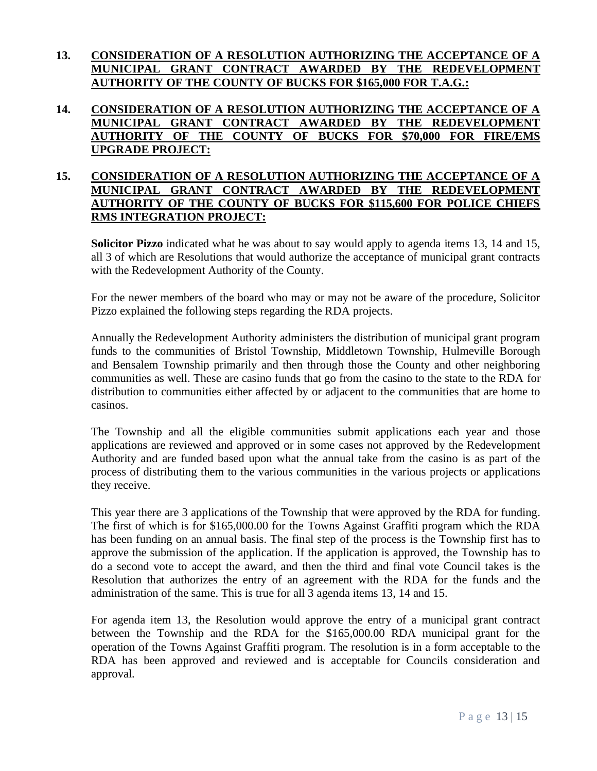## **13. CONSIDERATION OF A RESOLUTION AUTHORIZING THE ACCEPTANCE OF A MUNICIPAL GRANT CONTRACT AWARDED BY THE REDEVELOPMENT AUTHORITY OF THE COUNTY OF BUCKS FOR \$165,000 FOR T.A.G.:**

## **14. CONSIDERATION OF A RESOLUTION AUTHORIZING THE ACCEPTANCE OF A MUNICIPAL GRANT CONTRACT AWARDED BY THE REDEVELOPMENT AUTHORITY OF THE COUNTY OF BUCKS FOR \$70,000 FOR FIRE/EMS UPGRADE PROJECT:**

# **15. CONSIDERATION OF A RESOLUTION AUTHORIZING THE ACCEPTANCE OF A MUNICIPAL GRANT CONTRACT AWARDED BY THE REDEVELOPMENT AUTHORITY OF THE COUNTY OF BUCKS FOR \$115,600 FOR POLICE CHIEFS RMS INTEGRATION PROJECT:**

**Solicitor Pizzo** indicated what he was about to say would apply to agenda items 13, 14 and 15, all 3 of which are Resolutions that would authorize the acceptance of municipal grant contracts with the Redevelopment Authority of the County.

For the newer members of the board who may or may not be aware of the procedure, Solicitor Pizzo explained the following steps regarding the RDA projects.

Annually the Redevelopment Authority administers the distribution of municipal grant program funds to the communities of Bristol Township, Middletown Township, Hulmeville Borough and Bensalem Township primarily and then through those the County and other neighboring communities as well. These are casino funds that go from the casino to the state to the RDA for distribution to communities either affected by or adjacent to the communities that are home to casinos.

The Township and all the eligible communities submit applications each year and those applications are reviewed and approved or in some cases not approved by the Redevelopment Authority and are funded based upon what the annual take from the casino is as part of the process of distributing them to the various communities in the various projects or applications they receive.

This year there are 3 applications of the Township that were approved by the RDA for funding. The first of which is for \$165,000.00 for the Towns Against Graffiti program which the RDA has been funding on an annual basis. The final step of the process is the Township first has to approve the submission of the application. If the application is approved, the Township has to do a second vote to accept the award, and then the third and final vote Council takes is the Resolution that authorizes the entry of an agreement with the RDA for the funds and the administration of the same. This is true for all 3 agenda items 13, 14 and 15.

For agenda item 13, the Resolution would approve the entry of a municipal grant contract between the Township and the RDA for the \$165,000.00 RDA municipal grant for the operation of the Towns Against Graffiti program. The resolution is in a form acceptable to the RDA has been approved and reviewed and is acceptable for Councils consideration and approval.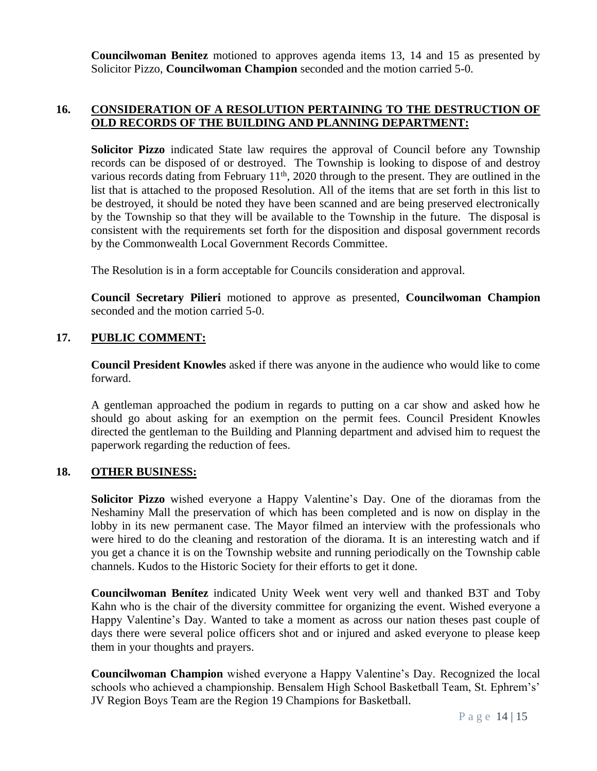**Councilwoman Benitez** motioned to approves agenda items 13, 14 and 15 as presented by Solicitor Pizzo, **Councilwoman Champion** seconded and the motion carried 5-0.

#### **16. CONSIDERATION OF A RESOLUTION PERTAINING TO THE DESTRUCTION OF OLD RECORDS OF THE BUILDING AND PLANNING DEPARTMENT:**

**Solicitor Pizzo** indicated State law requires the approval of Council before any Township records can be disposed of or destroyed. The Township is looking to dispose of and destroy various records dating from February  $11<sup>th</sup>$ , 2020 through to the present. They are outlined in the list that is attached to the proposed Resolution. All of the items that are set forth in this list to be destroyed, it should be noted they have been scanned and are being preserved electronically by the Township so that they will be available to the Township in the future. The disposal is consistent with the requirements set forth for the disposition and disposal government records by the Commonwealth Local Government Records Committee.

The Resolution is in a form acceptable for Councils consideration and approval.

**Council Secretary Pilieri** motioned to approve as presented, **Councilwoman Champion** seconded and the motion carried 5-0.

# **17. PUBLIC COMMENT:**

**Council President Knowles** asked if there was anyone in the audience who would like to come forward.

A gentleman approached the podium in regards to putting on a car show and asked how he should go about asking for an exemption on the permit fees. Council President Knowles directed the gentleman to the Building and Planning department and advised him to request the paperwork regarding the reduction of fees.

#### **18. OTHER BUSINESS:**

**Solicitor Pizzo** wished everyone a Happy Valentine's Day. One of the dioramas from the Neshaminy Mall the preservation of which has been completed and is now on display in the lobby in its new permanent case. The Mayor filmed an interview with the professionals who were hired to do the cleaning and restoration of the diorama. It is an interesting watch and if you get a chance it is on the Township website and running periodically on the Township cable channels. Kudos to the Historic Society for their efforts to get it done.

**Councilwoman Benítez** indicated Unity Week went very well and thanked B3T and Toby Kahn who is the chair of the diversity committee for organizing the event. Wished everyone a Happy Valentine's Day. Wanted to take a moment as across our nation theses past couple of days there were several police officers shot and or injured and asked everyone to please keep them in your thoughts and prayers.

**Councilwoman Champion** wished everyone a Happy Valentine's Day. Recognized the local schools who achieved a championship. Bensalem High School Basketball Team, St. Ephrem's' JV Region Boys Team are the Region 19 Champions for Basketball.